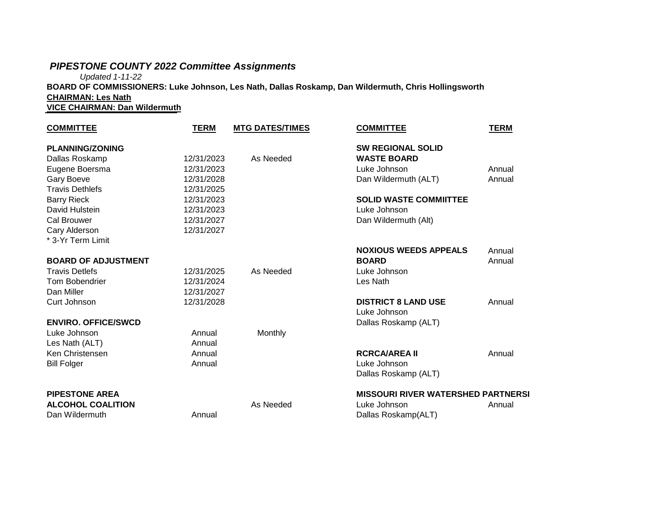# *PIPESTONE COUNTY 2022 Committee Assignments*

*Updated 1-11-22*

**BOARD OF COMMISSIONERS: Luke Johnson, Les Nath, Dallas Roskamp, Dan Wildermuth, Chris Hollingsworth CHAIRMAN: Les Nath**

**VICE CHAIRMAN: Dan Wildermuth**

| <b>COMMITTEE</b>           | <b>TERM</b> | <b>MTG DATES/TIMES</b> | <b>COMMITTEE</b>                          | <b>TERM</b> |
|----------------------------|-------------|------------------------|-------------------------------------------|-------------|
| <b>PLANNING/ZONING</b>     |             |                        | <b>SW REGIONAL SOLID</b>                  |             |
| Dallas Roskamp             | 12/31/2023  | As Needed              | <b>WASTE BOARD</b>                        |             |
| Eugene Boersma             | 12/31/2023  |                        | Luke Johnson                              | Annual      |
| Gary Boeve                 | 12/31/2028  |                        | Dan Wildermuth (ALT)                      | Annual      |
| <b>Travis Dethlefs</b>     | 12/31/2025  |                        |                                           |             |
| <b>Barry Rieck</b>         | 12/31/2023  |                        | <b>SOLID WASTE COMMIITTEE</b>             |             |
| David Hulstein             | 12/31/2023  |                        | Luke Johnson                              |             |
| Cal Brouwer                | 12/31/2027  |                        | Dan Wildermuth (Alt)                      |             |
| Cary Alderson              | 12/31/2027  |                        |                                           |             |
| * 3-Yr Term Limit          |             |                        |                                           |             |
|                            |             |                        | <b>NOXIOUS WEEDS APPEALS</b>              | Annual      |
| <b>BOARD OF ADJUSTMENT</b> |             |                        | <b>BOARD</b>                              | Annual      |
| <b>Travis Detlefs</b>      | 12/31/2025  | As Needed              | Luke Johnson                              |             |
| <b>Tom Bobendrier</b>      | 12/31/2024  |                        | Les Nath                                  |             |
| Dan Miller                 | 12/31/2027  |                        |                                           |             |
| Curt Johnson               | 12/31/2028  |                        | <b>DISTRICT 8 LAND USE</b>                | Annual      |
|                            |             |                        | Luke Johnson                              |             |
| <b>ENVIRO. OFFICE/SWCD</b> |             |                        | Dallas Roskamp (ALT)                      |             |
| Luke Johnson               | Annual      | Monthly                |                                           |             |
| Les Nath (ALT)             | Annual      |                        |                                           |             |
| Ken Christensen            | Annual      |                        | <b>RCRCA/AREA II</b>                      | Annual      |
| <b>Bill Folger</b>         | Annual      |                        | Luke Johnson                              |             |
|                            |             |                        | Dallas Roskamp (ALT)                      |             |
| <b>PIPESTONE AREA</b>      |             |                        | <b>MISSOURI RIVER WATERSHED PARTNERSI</b> |             |
| <b>ALCOHOL COALITION</b>   |             | As Needed              | Luke Johnson                              | Annual      |
| Dan Wildermuth             | Annual      |                        | Dallas Roskamp(ALT)                       |             |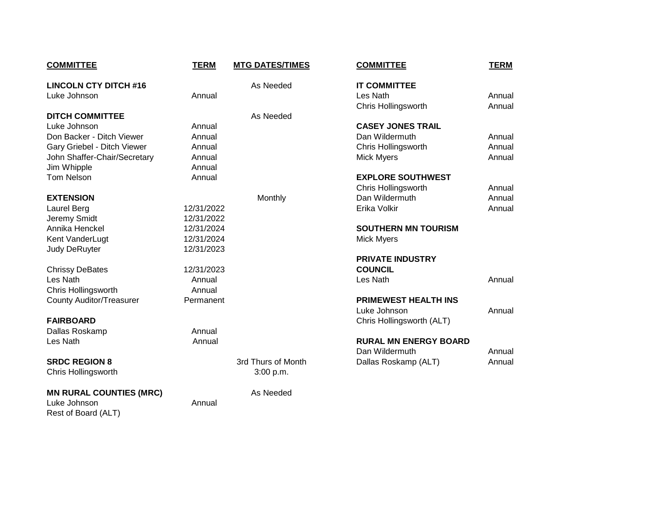| <b>COMMITTEE</b>                | <b>TERM</b> | <b>MTG DATES/TIMES</b> | <b>COMMITTEE</b>             | <b>TERM</b> |
|---------------------------------|-------------|------------------------|------------------------------|-------------|
| <b>LINCOLN CTY DITCH #16</b>    |             | As Needed              | <b>IT COMMITTEE</b>          |             |
| Luke Johnson                    | Annual      |                        | Les Nath                     | Annual      |
|                                 |             |                        | Chris Hollingsworth          | Annual      |
| <b>DITCH COMMITTEE</b>          |             | As Needed              |                              |             |
| Luke Johnson                    | Annual      |                        | <b>CASEY JONES TRAIL</b>     |             |
| Don Backer - Ditch Viewer       | Annual      |                        | Dan Wildermuth               | Annual      |
| Gary Griebel - Ditch Viewer     | Annual      |                        | Chris Hollingsworth          | Annual      |
| John Shaffer-Chair/Secretary    | Annual      |                        | <b>Mick Myers</b>            | Annual      |
| Jim Whipple                     | Annual      |                        |                              |             |
| <b>Tom Nelson</b>               | Annual      |                        | <b>EXPLORE SOUTHWEST</b>     |             |
|                                 |             |                        | Chris Hollingsworth          | Annual      |
| <b>EXTENSION</b>                |             | Monthly                | Dan Wildermuth               | Annual      |
| Laurel Berg                     | 12/31/2022  |                        | Erika Volkir                 | Annual      |
| Jeremy Smidt                    | 12/31/2022  |                        |                              |             |
| Annika Henckel                  | 12/31/2024  |                        | <b>SOUTHERN MN TOURISM</b>   |             |
| Kent VanderLugt                 | 12/31/2024  |                        | <b>Mick Myers</b>            |             |
| <b>Judy DeRuyter</b>            | 12/31/2023  |                        |                              |             |
|                                 |             |                        | <b>PRIVATE INDUSTRY</b>      |             |
| <b>Chrissy DeBates</b>          | 12/31/2023  |                        | <b>COUNCIL</b>               |             |
| Les Nath                        | Annual      |                        | Les Nath                     | Annual      |
| Chris Hollingsworth             | Annual      |                        |                              |             |
| <b>County Auditor/Treasurer</b> | Permanent   |                        | <b>PRIMEWEST HEALTH INS</b>  |             |
|                                 |             |                        | Luke Johnson                 | Annual      |
| <b>FAIRBOARD</b>                |             |                        | Chris Hollingsworth (ALT)    |             |
| Dallas Roskamp                  | Annual      |                        |                              |             |
| Les Nath                        | Annual      |                        | <b>RURAL MN ENERGY BOARD</b> |             |
|                                 |             |                        | Dan Wildermuth               | Annual      |
| <b>SRDC REGION 8</b>            |             | 3rd Thurs of Month     | Dallas Roskamp (ALT)         | Annual      |
| Chris Hollingsworth             |             | 3:00 p.m.              |                              |             |

#### **MN RURAL COUNTIES (MRC)** As Needed

Luke Johnson **Annual** Rest of Board (ALT)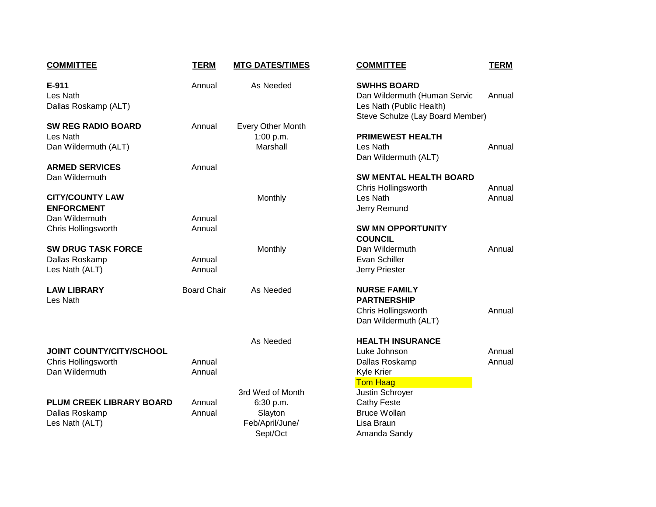| <b>COMMITTEE</b>                                                         | <b>TERM</b>        | <b>MTG DATES/TIMES</b>                                                  | <b>COMMITTEE</b>                                                                                                   | <b>TERM</b>    |
|--------------------------------------------------------------------------|--------------------|-------------------------------------------------------------------------|--------------------------------------------------------------------------------------------------------------------|----------------|
| E-911<br>Les Nath<br>Dallas Roskamp (ALT)                                | Annual             | As Needed                                                               | <b>SWHHS BOARD</b><br>Dan Wildermuth (Human Servic<br>Les Nath (Public Health)<br>Steve Schulze (Lay Board Member) | Annual         |
| <b>SW REG RADIO BOARD</b><br>Les Nath<br>Dan Wildermuth (ALT)            | Annual             | <b>Every Other Month</b><br>1:00 p.m.<br>Marshall                       | <b>PRIMEWEST HEALTH</b><br>Les Nath<br>Dan Wildermuth (ALT)                                                        | Annual         |
| <b>ARMED SERVICES</b><br>Dan Wildermuth                                  | Annual             |                                                                         | <b>SW MENTAL HEALTH BOARD</b><br>Chris Hollingsworth                                                               | Annual         |
| <b>CITY/COUNTY LAW</b><br><b>ENFORCMENT</b><br>Dan Wildermuth            | Annual             | Monthly                                                                 | Les Nath<br>Jerry Remund                                                                                           | Annua          |
| Chris Hollingsworth                                                      | Annual             |                                                                         | <b>SW MN OPPORTUNITY</b><br><b>COUNCIL</b>                                                                         |                |
| <b>SW DRUG TASK FORCE</b><br>Dallas Roskamp<br>Les Nath (ALT)            | Annual<br>Annual   | Monthly                                                                 | Dan Wildermuth<br>Evan Schiller<br>Jerry Priester                                                                  | Annua          |
| <b>LAW LIBRARY</b><br>Les Nath                                           | <b>Board Chair</b> | As Needed                                                               | <b>NURSE FAMILY</b><br><b>PARTNERSHIP</b><br>Chris Hollingsworth<br>Dan Wildermuth (ALT)                           | Annua          |
|                                                                          |                    | As Needed                                                               | <b>HEALTH INSURANCE</b>                                                                                            |                |
| <b>JOINT COUNTY/CITY/SCHOOL</b><br>Chris Hollingsworth<br>Dan Wildermuth | Annual<br>Annual   |                                                                         | Luke Johnson<br>Dallas Roskamp<br>Kyle Krier<br><b>Tom Haag</b>                                                    | Annua<br>Annua |
| PLUM CREEK LIBRARY BOARD<br>Dallas Roskamp<br>Les Nath (ALT)             | Annual<br>Annual   | 3rd Wed of Month<br>6:30 p.m.<br>Slayton<br>Feb/April/June/<br>Sept/Oct | Justin Schroyer<br><b>Cathy Feste</b><br><b>Bruce Wollan</b><br>Lisa Braun<br>Amanda Sandy                         |                |

| <b>DATES/TIMES</b>                                   | <b>COMMITTEE</b>                                                                                                   | <b>TERM</b>      |
|------------------------------------------------------|--------------------------------------------------------------------------------------------------------------------|------------------|
| s Needed<br>Other Month                              | <b>SWHHS BOARD</b><br>Dan Wildermuth (Human Servic<br>Les Nath (Public Health)<br>Steve Schulze (Lay Board Member) | Annual           |
| :00 p.m.<br>Marshall                                 | <b>PRIMEWEST HEALTH</b><br>Les Nath<br>Dan Wildermuth (ALT)                                                        | Annual           |
| Monthly                                              | <b>SW MENTAL HEALTH BOARD</b><br>Chris Hollingsworth<br>Les Nath<br>Jerry Remund                                   | Annual<br>Annual |
| Monthly                                              | <b>SW MN OPPORTUNITY</b><br><b>COUNCIL</b><br>Dan Wildermuth<br>Evan Schiller<br>Jerry Priester                    | Annual           |
| s Needed                                             | <b>NURSE FAMILY</b><br><b>PARTNERSHIP</b><br><b>Chris Hollingsworth</b><br>Dan Wildermuth (ALT)                    | Annual           |
| s Needed                                             | <b>HEALTH INSURANCE</b><br>Luke Johnson<br>Dallas Roskamp<br>Kyle Krier                                            | Annual<br>Annual |
| Ved of Month<br>3:30 p.m.<br>Slayton<br>/April/June/ | <b>Tom Haag</b><br>Justin Schroyer<br><b>Cathy Feste</b><br><b>Bruce Wollan</b><br>Lisa Braun                      |                  |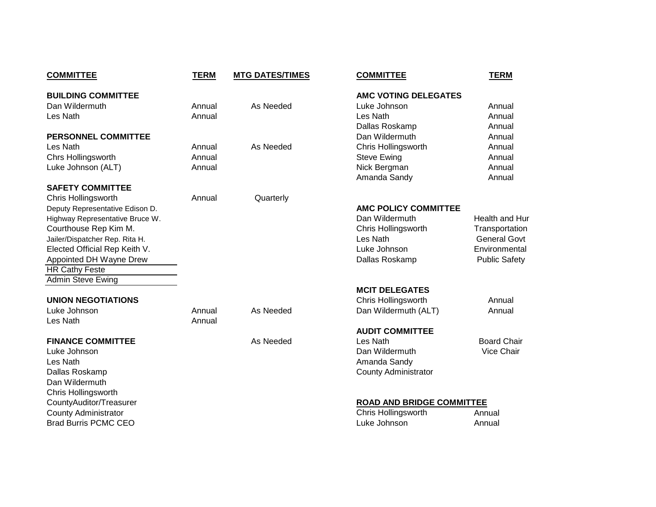| <b>COMMITTEE</b>                | <b>TERM</b> | <b>MTG DATES/TIMES</b> | <b>COMMITTEE</b>                 | <b>TERM</b>          |
|---------------------------------|-------------|------------------------|----------------------------------|----------------------|
| <b>BUILDING COMMITTEE</b>       |             |                        | <b>AMC VOTING DELEGATES</b>      |                      |
| Dan Wildermuth                  | Annual      | As Needed              | Luke Johnson                     | Annual               |
| Les Nath                        | Annual      |                        | Les Nath                         | Annual               |
|                                 |             |                        | Dallas Roskamp                   | Annual               |
| <b>PERSONNEL COMMITTEE</b>      |             |                        | Dan Wildermuth                   | Annual               |
| Les Nath                        | Annual      | As Needed              | Chris Hollingsworth              | Annual               |
| <b>Chrs Hollingsworth</b>       | Annual      |                        | <b>Steve Ewing</b>               | Annual               |
| Luke Johnson (ALT)              | Annual      |                        | Nick Bergman                     | Annual               |
|                                 |             |                        | Amanda Sandy                     | Annual               |
| <b>SAFETY COMMITTEE</b>         |             |                        |                                  |                      |
| Chris Hollingsworth             | Annual      | Quarterly              |                                  |                      |
| Deputy Representative Edison D. |             |                        | <b>AMC POLICY COMMITTEE</b>      |                      |
| Highway Representative Bruce W. |             |                        | Dan Wildermuth                   | Health and Hur       |
| Courthouse Rep Kim M.           |             |                        | Chris Hollingsworth              | Transportation       |
| Jailer/Dispatcher Rep. Rita H.  |             |                        | Les Nath                         | <b>General Govt</b>  |
| Elected Official Rep Keith V.   |             |                        | Luke Johnson                     | Environmental        |
| Appointed DH Wayne Drew         |             |                        | Dallas Roskamp                   | <b>Public Safety</b> |
| <b>HR Cathy Feste</b>           |             |                        |                                  |                      |
| <b>Admin Steve Ewing</b>        |             |                        |                                  |                      |
|                                 |             |                        | <b>MCIT DELEGATES</b>            |                      |
| <b>UNION NEGOTIATIONS</b>       |             |                        | <b>Chris Hollingsworth</b>       | Annual               |
| Luke Johnson                    | Annual      | As Needed              | Dan Wildermuth (ALT)             | Annual               |
| Les Nath                        | Annual      |                        |                                  |                      |
|                                 |             |                        | <b>AUDIT COMMITTEE</b>           |                      |
| <b>FINANCE COMMITTEE</b>        |             | As Needed              | Les Nath                         | <b>Board Chair</b>   |
| Luke Johnson                    |             |                        | Dan Wildermuth                   | Vice Chair           |
| Les Nath                        |             |                        | Amanda Sandy                     |                      |
| Dallas Roskamp                  |             |                        | <b>County Administrator</b>      |                      |
| Dan Wildermuth                  |             |                        |                                  |                      |
| Chris Hollingsworth             |             |                        |                                  |                      |
| CountyAuditor/Treasurer         |             |                        | <b>ROAD AND BRIDGE COMMITTEE</b> |                      |
| <b>County Administrator</b>     |             |                        | Chris Hollingsworth              | Annual               |
| <b>Brad Burris PCMC CEO</b>     |             |                        | Luke Johnson                     | Annual               |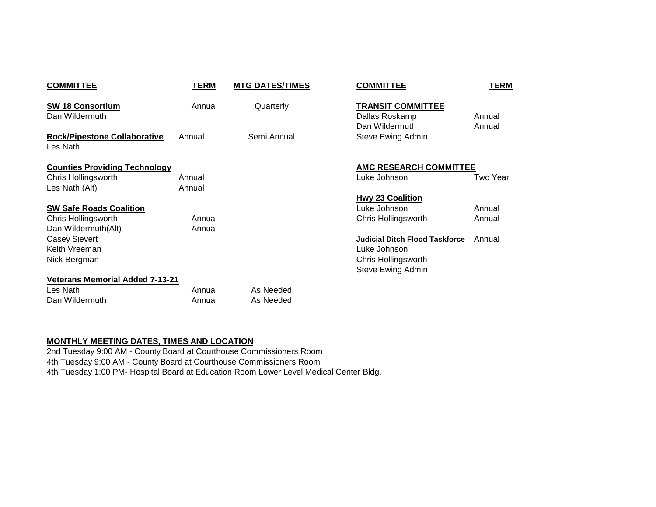| <b>COMMITTEE</b>                                | TERM   | <b>MTG DATES/TIMES</b> | <b>COMMITTEE</b>                                             | <b>TERM</b>      |
|-------------------------------------------------|--------|------------------------|--------------------------------------------------------------|------------------|
| <b>SW 18 Consortium</b><br>Dan Wildermuth       | Annual | Quarterly              | <b>TRANSIT COMMITTEE</b><br>Dallas Roskamp<br>Dan Wildermuth | Annual<br>Annual |
| <b>Rock/Pipestone Collaborative</b><br>Les Nath | Annual | Semi Annual            | Steve Ewing Admin                                            |                  |
| <b>Counties Providing Technology</b>            |        |                        | <b>AMC RESEARCH COMMITTEE</b>                                |                  |
| Chris Hollingsworth                             | Annual |                        | Luke Johnson                                                 | Two Year         |
| Les Nath (Alt)                                  | Annual |                        |                                                              |                  |
|                                                 |        |                        | <b>Hwy 23 Coalition</b>                                      |                  |
| <b>SW Safe Roads Coalition</b>                  |        |                        | Luke Johnson                                                 | Annual           |
| Chris Hollingsworth                             | Annual |                        | Chris Hollingsworth                                          | Annual           |
| Dan Wildermuth(Alt)                             | Annual |                        |                                                              |                  |
| <b>Casey Sievert</b>                            |        |                        | <b>Judicial Ditch Flood Taskforce</b>                        | Annual           |
| Keith Vreeman                                   |        |                        | Luke Johnson                                                 |                  |
| Nick Bergman                                    |        |                        | Chris Hollingsworth                                          |                  |
|                                                 |        |                        | Steve Ewing Admin                                            |                  |
| <b>Veterans Memorial Added 7-13-21</b>          |        |                        |                                                              |                  |
| Les Nath                                        | Annual | As Needed              |                                                              |                  |
| Dan Wildermuth                                  | Annual | As Needed              |                                                              |                  |

## **MONTHLY MEETING DATES, TIMES AND LOCATION**

2nd Tuesday 9:00 AM - County Board at Courthouse Commissioners Room 4th Tuesday 9:00 AM - County Board at Courthouse Commissioners Room 4th Tuesday 1:00 PM- Hospital Board at Education Room Lower Level Medical Center Bldg.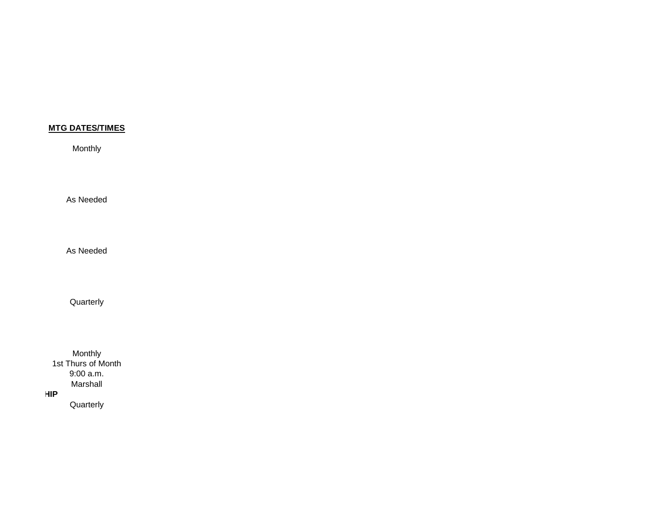Monthly

As Needed

As Needed

Quarterly

Monthly 1st Thurs of Month 9:00 a.m. Marshall *HIP* 

**Quarterly**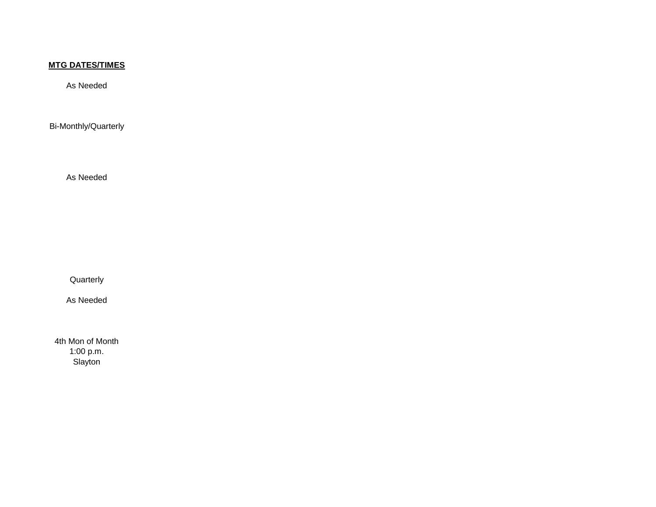As Needed

Bi-Monthly/Quarterly

As Needed

Quarterly

As Needed

4th Mon of Month 1:00 p.m. Slayton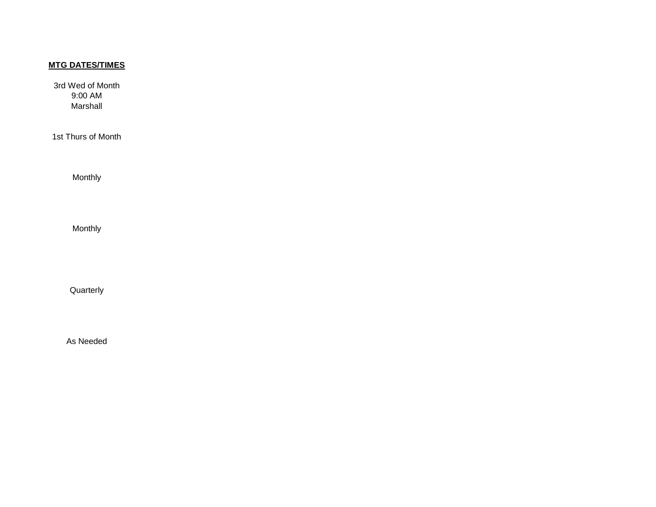3rd Wed of Month 9:00 AM Marshall

1st Thurs of Month

Monthly

Monthly

Quarterly

As Needed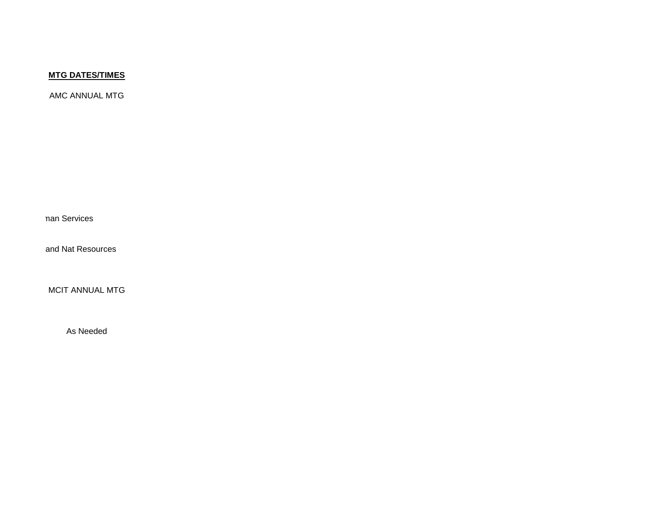AMC ANNUAL MTG

man Services

and Nat Resources

MCIT ANNUAL MTG

As Needed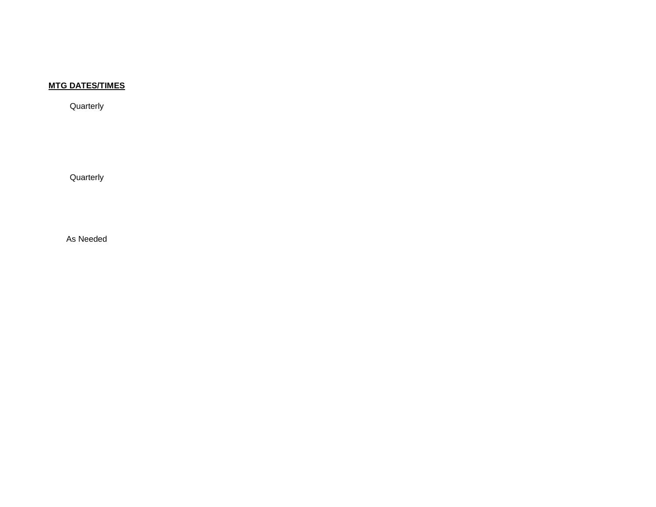**Quarterly** 

**Quarterly** 

As Needed